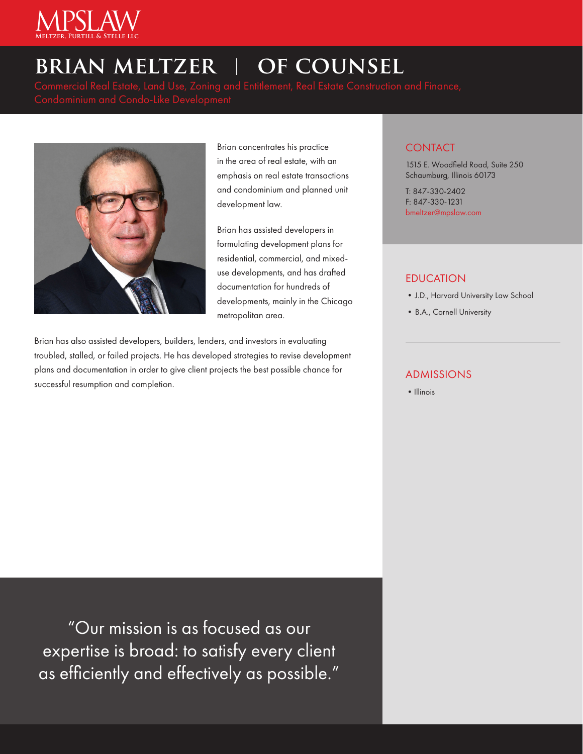

# **BRIAN MELTZER | OF COUNSEL**



Brian concentrates his practice in the area of real estate, with an emphasis on real estate transactions and condominium and planned unit development law.

Brian has assisted developers in formulating development plans for residential, commercial, and mixeduse developments, and has drafted documentation for hundreds of developments, mainly in the Chicago metropolitan area.

Brian has also assisted developers, builders, lenders, and investors in evaluating troubled, stalled, or failed projects. He has developed strategies to revise development plans and documentation in order to give client projects the best possible chance for successful resumption and completion.

### **CONTACT**

1515 E. Woodfield Road, Suite 250 Schaumburg, Illinois 60173

T: 847-330-2402 F: 847-330-1231 bmeltzer@mpslaw.com

### EDUCATION

- •J.D., Harvard University Law School
- •B.A., Cornell University

### ADMISSIONS

• Illinois

"Our mission is as focused as our expertise is broad: to satisfy every client as efficiently and effectively as possible."